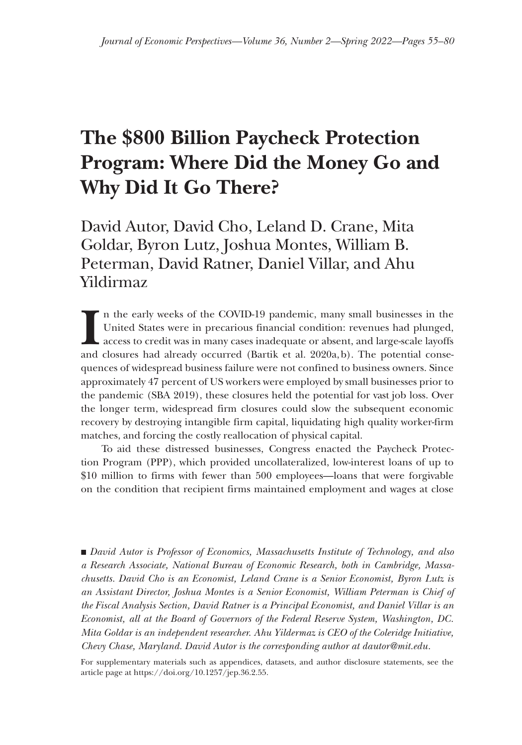# **The \$800 Billion Paycheck Protection Program: Where Did the Money Go and Why Did It Go There?**

David Autor, David Cho, Leland D. Crane, Mita Goldar, Byron Lutz, Joshua Montes, William B. Peterman, David Ratner, Daniel Villar, and Ahu Yildirmaz

**I** n the early weeks of the COVID-19 pandemic, many small businesses in the United States were in precarious financial condition: revenues had plunged, access to credit was in many cases inadequate or absent, and large-scale layoffs and closures had already occurred (Bartik et al. 2020a,b). The potential consequences of widespread business failure were not confined to business owners. Since approximately 47 percent of US workers were employed by small businesses prior to the pandemic (SBA 2019), these closures held the potential for vast job loss. Over the longer term, widespread firm closures could slow the subsequent economic recovery by destroying intangible firm capital, liquidating high quality worker-firm matches, and forcing the costly reallocation of physical capital.

To aid these distressed businesses, Congress enacted the Paycheck Protection Program (PPP), which provided uncollateralized, low-interest loans of up to \$10 million to firms with fewer than 500 employees—loans that were forgivable on the condition that recipient firms maintained employment and wages at close

■ *David Autor is Professor of Economics, Massachusetts Institute of Technology, and also a Research Associate, National Bureau of Economic Research, both in Cambridge, Massachusetts. David Cho is an Economist, Leland Crane is a Senior Economist, Byron Lutz is an Assistant Director, Joshua Montes is a Senior Economist, William Peterman is Chief of the Fiscal Analysis Section, David Ratner is a Principal Economist, and Daniel Villar is an Economist, all at the Board of Governors of the Federal Reserve System, Washington, DC. Mita Goldar is an independent researcher. Ahu Yildermaz is CEO of the Coleridge Initiative, Chevy Chase, Maryland. David Autor is the corresponding author at [dautor@mit.edu](mailto:dautor@mit.edu).*

For supplementary materials such as appendices, datasets, and author disclosure statements, see the article page at https://doi.org/10.1257/jep.36.2.55.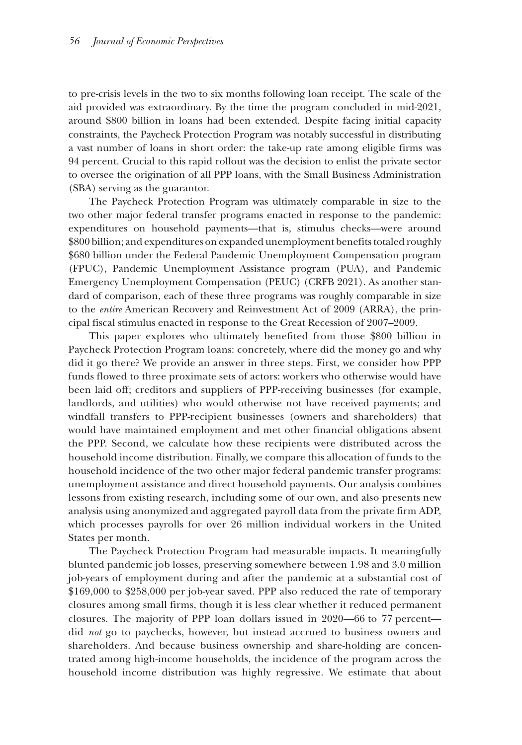to pre-crisis levels in the two to six months following loan receipt. The scale of the aid provided was extraordinary. By the time the program concluded in mid-2021, around \$800 billion in loans had been extended. Despite facing initial capacity constraints, the Paycheck Protection Program was notably successful in distributing a vast number of loans in short order: the take-up rate among eligible firms was 94 percent. Crucial to this rapid rollout was the decision to enlist the private sector to oversee the origination of all PPP loans, with the Small Business Administration (SBA) serving as the guarantor.

The Paycheck Protection Program was ultimately comparable in size to the two other major federal transfer programs enacted in response to the pandemic: expenditures on household payments—that is, stimulus checks—were around \$800 billion; and expenditures on expanded unemployment benefits totaled roughly \$680 billion under the Federal Pandemic Unemployment Compensation program (FPUC), Pandemic Unemployment Assistance program (PUA), and Pandemic Emergency Unemployment Compensation (PEUC) (CRFB 2021). As another standard of comparison, each of these three programs was roughly comparable in size to the *entire* American Recovery and Reinvestment Act of 2009 (ARRA), the principal fiscal stimulus enacted in response to the Great Recession of 2007–2009.

This paper explores who ultimately benefited from those \$800 billion in Paycheck Protection Program loans: concretely, where did the money go and why did it go there? We provide an answer in three steps. First, we consider how PPP funds flowed to three proximate sets of actors: workers who otherwise would have been laid off; creditors and suppliers of PPP-receiving businesses (for example, landlords, and utilities) who would otherwise not have received payments; and windfall transfers to PPP-recipient businesses (owners and shareholders) that would have maintained employment and met other financial obligations absent the PPP. Second, we calculate how these recipients were distributed across the household income distribution. Finally, we compare this allocation of funds to the household incidence of the two other major federal pandemic transfer programs: unemployment assistance and direct household payments. Our analysis combines lessons from existing research, including some of our own, and also presents new analysis using anonymized and aggregated payroll data from the private firm ADP, which processes payrolls for over 26 million individual workers in the United States per month.

The Paycheck Protection Program had measurable impacts. It meaningfully blunted pandemic job losses, preserving somewhere between 1.98 and 3.0 million job-years of employment during and after the pandemic at a substantial cost of \$169,000 to \$258,000 per job-year saved. PPP also reduced the rate of temporary closures among small firms, though it is less clear whether it reduced permanent closures. The majority of PPP loan dollars issued in 2020—66 to 77 percent did *not* go to paychecks, however, but instead accrued to business owners and shareholders. And because business ownership and share-holding are concentrated among high-income households, the incidence of the program across the household income distribution was highly regressive. We estimate that about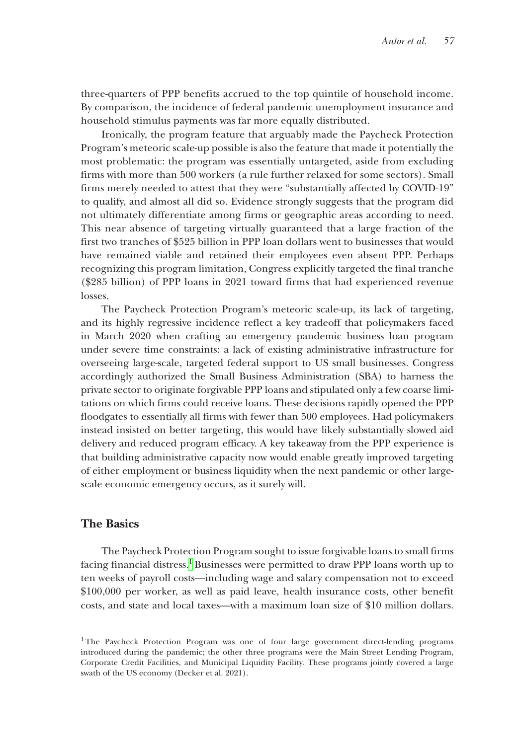three-quarters of PPP benefits accrued to the top quintile of household income. By comparison, the incidence of federal pandemic unemployment insurance and household stimulus payments was far more equally distributed.

Ironically, the program feature that arguably made the Paycheck Protection Program's meteoric scale-up possible is also the feature that made it potentially the most problematic: the program was essentially untargeted, aside from excluding firms with more than 500 workers (a rule further relaxed for some sectors). Small firms merely needed to attest that they were "substantially affected by COVID-19" to qualify, and almost all did so. Evidence strongly suggests that the program did not ultimately differentiate among firms or geographic areas according to need. This near absence of targeting virtually guaranteed that a large fraction of the first two tranches of \$525 billion in PPP loan dollars went to businesses that would have remained viable and retained their employees even absent PPP. Perhaps recognizing this program limitation, Congress explicitly targeted the final tranche (\$285 billion) of PPP loans in 2021 toward firms that had experienced revenue losses.

The Paycheck Protection Program's meteoric scale-up, its lack of targeting, and its highly regressive incidence reflect a key tradeoff that policymakers faced in March 2020 when crafting an emergency pandemic business loan program under severe time constraints: a lack of existing administrative infrastructure for overseeing large-scale, targeted federal support to US small businesses. Congress accordingly authorized the Small Business Administration (SBA) to harness the private sector to originate forgivable PPP loans and stipulated only a few coarse limitations on which firms could receive loans. These decisions rapidly opened the PPP floodgates to essentially all firms with fewer than 500 employees. Had policymakers instead insisted on better targeting, this would have likely substantially slowed aid delivery and reduced program efficacy. A key takeaway from the PPP experience is that building administrative capacity now would enable greatly improved targeting of either employment or business liquidity when the next pandemic or other largescale economic emergency occurs, as it surely will.

# **The Basics**

The Paycheck Protection Program sought to issue forgivable loans to small firms facing financial distress.<sup>1</sup> Businesses were permitted to draw PPP loans worth up to ten weeks of payroll costs—including wage and salary compensation not to exceed \$100,000 per worker, as well as paid leave, health insurance costs, other benefit costs, and state and local taxes—with a maximum loan size of \$10 million dollars.

<span id="page-2-0"></span><sup>&</sup>lt;sup>1</sup>The Paycheck Protection Program was one of four large government direct-lending programs introduced during the pandemic; the other three programs were the Main Street Lending Program, Corporate Credit Facilities, and Municipal Liquidity Facility. These programs jointly covered a large swath of the US economy (Decker et al. 2021).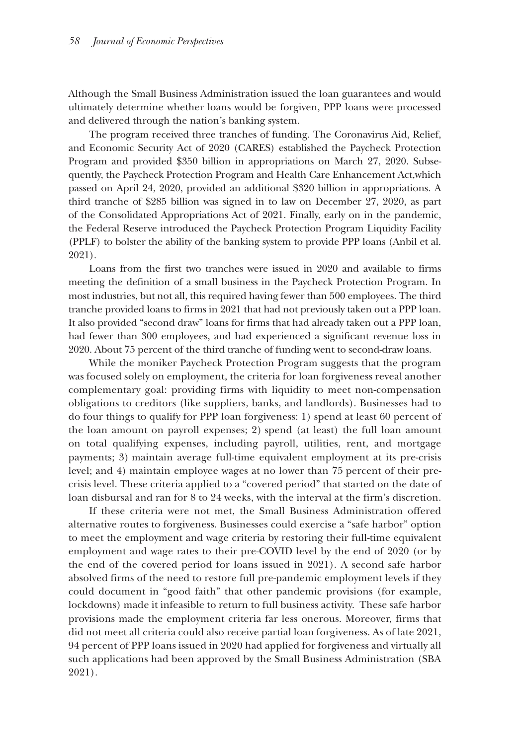Although the Small Business Administration issued the loan guarantees and would ultimately determine whether loans would be forgiven, PPP loans were processed and delivered through the nation's banking system.

The program received three tranches of funding. The Coronavirus Aid, Relief, and Economic Security Act of 2020 (CARES) established the Paycheck Protection Program and provided \$350 billion in appropriations on March 27, 2020. Subsequently, the Paycheck Protection Program and Health Care Enhancement Act,which passed on April 24, 2020, provided an additional \$320 billion in appropriations. A third tranche of \$285 billion was signed in to law on December 27, 2020, as part of the Consolidated Appropriations Act of 2021. Finally, early on in the pandemic, the Federal Reserve introduced the Paycheck Protection Program Liquidity Facility (PPLF) to bolster the ability of the banking system to provide PPP loans (Anbil et al. 2021).

Loans from the first two tranches were issued in 2020 and available to firms meeting the definition of a small business in the Paycheck Protection Program. In most industries, but not all, this required having fewer than 500 employees. The third tranche provided loans to firms in 2021 that had not previously taken out a PPP loan. It also provided "second draw" loans for firms that had already taken out a PPP loan, had fewer than 300 employees, and had experienced a significant revenue loss in 2020. About 75 percent of the third tranche of funding went to second-draw loans.

While the moniker Paycheck Protection Program suggests that the program was focused solely on employment, the criteria for loan forgiveness reveal another complementary goal: providing firms with liquidity to meet non-compensation obligations to creditors (like suppliers, banks, and landlords). Businesses had to do four things to qualify for PPP loan forgiveness: 1) spend at least 60 percent of the loan amount on payroll expenses; 2) spend (at least) the full loan amount on total qualifying expenses, including payroll, utilities, rent, and mortgage payments; 3) maintain average full-time equivalent employment at its pre-crisis level; and 4) maintain employee wages at no lower than 75 percent of their precrisis level. These criteria applied to a "covered period" that started on the date of loan disbursal and ran for 8 to 24 weeks, with the interval at the firm's discretion.

If these criteria were not met, the Small Business Administration offered alternative routes to forgiveness. Businesses could exercise a "safe harbor" option to meet the employment and wage criteria by restoring their full-time equivalent employment and wage rates to their pre-COVID level by the end of 2020 (or by the end of the covered period for loans issued in 2021). A second safe harbor absolved firms of the need to restore full pre-pandemic employment levels if they could document in "good faith" that other pandemic provisions (for example, lockdowns) made it infeasible to return to full business activity. These safe harbor provisions made the employment criteria far less onerous. Moreover, firms that did not meet all criteria could also receive partial loan forgiveness. As of late 2021, 94 percent of PPP loans issued in 2020 had applied for forgiveness and virtually all such applications had been approved by the Small Business Administration (SBA 2021).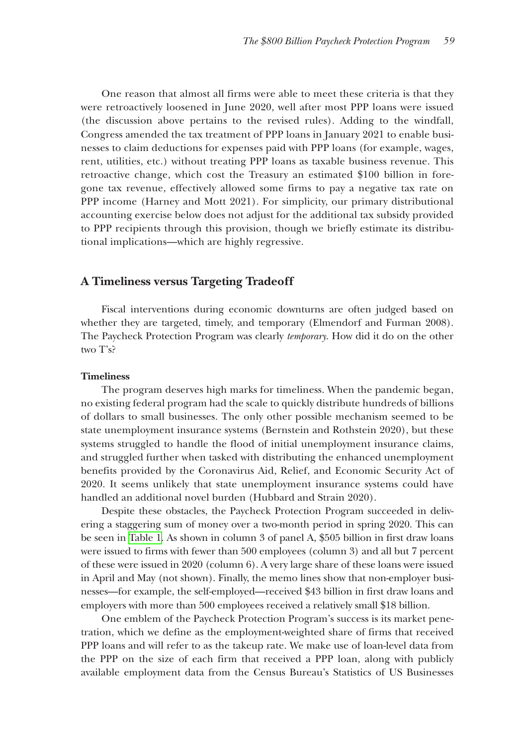One reason that almost all firms were able to meet these criteria is that they were retroactively loosened in June 2020, well after most PPP loans were issued (the discussion above pertains to the revised rules). Adding to the windfall, Congress amended the tax treatment of PPP loans in January 2021 to enable businesses to claim deductions for expenses paid with PPP loans (for example, wages, rent, utilities, etc.) without treating PPP loans as taxable business revenue. This retroactive change, which cost the Treasury an estimated \$100 billion in foregone tax revenue, effectively allowed some firms to pay a negative tax rate on PPP income (Harney and Mott 2021). For simplicity, our primary distributional accounting exercise below does not adjust for the additional tax subsidy provided to PPP recipients through this provision, though we briefly estimate its distributional implications—which are highly regressive.

### **A Timeliness versus Targeting Tradeoff**

Fiscal interventions during economic downturns are often judged based on whether they are targeted, timely, and temporary (Elmendorf and Furman 2008). The Paycheck Protection Program was clearly *temporary*. How did it do on the other two T's?

#### **Timeliness**

The program deserves high marks for timeliness. When the pandemic began, no existing federal program had the scale to quickly distribute hundreds of billions of dollars to small businesses. The only other possible mechanism seemed to be state unemployment insurance systems (Bernstein and Rothstein 2020), but these systems struggled to handle the flood of initial unemployment insurance claims, and struggled further when tasked with distributing the enhanced unemployment benefits provided by the Coronavirus Aid, Relief, and Economic Security Act of 2020. It seems unlikely that state unemployment insurance systems could have handled an additional novel burden (Hubbard and Strain 2020).

Despite these obstacles, the Paycheck Protection Program succeeded in delivering a staggering sum of money over a two-month period in spring 2020. This can be seen in [Table 1.](#page-5-0) As shown in column 3 of panel A, \$505 billion in first draw loans were issued to firms with fewer than 500 employees (column 3) and all but 7 percent of these were issued in 2020 (column 6). A very large share of these loans were issued in April and May (not shown). Finally, the memo lines show that non-employer businesses—for example, the self-employed—received \$43 billion in first draw loans and employers with more than 500 employees received a relatively small \$18 billion.

One emblem of the Paycheck Protection Program's success is its market penetration, which we define as the employment-weighted share of firms that received PPP loans and will refer to as the takeup rate. We make use of loan-level data from the PPP on the size of each firm that received a PPP loan, along with publicly available employment data from the Census Bureau's Statistics of US Businesses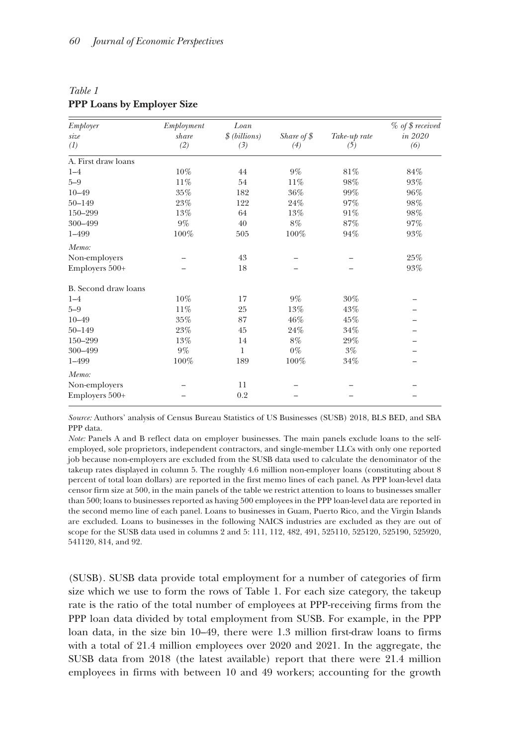<span id="page-5-0"></span>

| Table 1 |                                   |  |
|---------|-----------------------------------|--|
|         | <b>PPP Loans by Employer Size</b> |  |

| Employer<br>size<br>(1) | Employment<br>share<br>(2) | Loan<br>\$ (billions)<br>(3) | Share of $$$<br>(4) | Take-up rate<br>(5) | % of \$ received<br>in 2020<br>(6) |                     |     |    |       |     |     |
|-------------------------|----------------------------|------------------------------|---------------------|---------------------|------------------------------------|---------------------|-----|----|-------|-----|-----|
|                         |                            |                              |                     |                     |                                    | A. First draw loans |     |    |       |     |     |
|                         |                            |                              |                     |                     |                                    | $1 - 4$             | 10% | 44 | $9\%$ | 81% | 84% |
| $5 - 9$                 | 11%                        | 54                           | 11%                 | 98%                 | 93%                                |                     |     |    |       |     |     |
| $10 - 49$               | 35%                        | 182                          | 36%                 | 99%                 | 96%                                |                     |     |    |       |     |     |
| $50 - 149$              | 23%                        | 122                          | 24%                 | 97%                 | 98%                                |                     |     |    |       |     |     |
| 150-299                 | 13%                        | 64                           | 13%                 | 91%                 | 98%                                |                     |     |    |       |     |     |
| 300-499                 | $9\%$                      | 40                           | $8\%$               | 87%                 | 97%                                |                     |     |    |       |     |     |
| $1 - 499$               | 100%                       | 505                          | 100%                | 94%                 | 93%                                |                     |     |    |       |     |     |
| Memo:                   |                            |                              |                     |                     |                                    |                     |     |    |       |     |     |
| Non-employers           |                            | 43                           |                     |                     | 25%                                |                     |     |    |       |     |     |
| Employers 500+          |                            | 18                           |                     |                     | 93%                                |                     |     |    |       |     |     |
| B. Second draw loans    |                            |                              |                     |                     |                                    |                     |     |    |       |     |     |
| $1 - 4$                 | 10%                        | 17                           | $9\%$               | 30%                 |                                    |                     |     |    |       |     |     |
| $5 - 9$                 | 11%                        | 25                           | 13%                 | 43%                 |                                    |                     |     |    |       |     |     |
| $10 - 49$               | $35\%$                     | 87                           | 46%                 | 45%                 |                                    |                     |     |    |       |     |     |
| $50 - 149$              | 23%                        | 45                           | 24%                 | 34%                 |                                    |                     |     |    |       |     |     |
| 150-299                 | 13%                        | 14                           | $8\%$               | 29%                 |                                    |                     |     |    |       |     |     |
| 300-499                 | $9\%$                      | 1                            | $0\%$               | $3\%$               |                                    |                     |     |    |       |     |     |
| 1-499                   | 100%                       | 189                          | 100%                | 34%                 |                                    |                     |     |    |       |     |     |
| Memo:                   |                            |                              |                     |                     |                                    |                     |     |    |       |     |     |
| Non-employers           |                            | 11                           |                     |                     |                                    |                     |     |    |       |     |     |
| Employers 500+          |                            | 0.2                          |                     |                     |                                    |                     |     |    |       |     |     |

*Source:* Authors' analysis of Census Bureau Statistics of US Businesses (SUSB) 2018, BLS BED, and SBA PPP data.

*Note:* Panels A and B reflect data on employer businesses. The main panels exclude loans to the selfemployed, sole proprietors, independent contractors, and single-member LLCs with only one reported job because non-employers are excluded from the SUSB data used to calculate the denominator of the takeup rates displayed in column 5. The roughly 4.6 million non-employer loans (constituting about 8 percent of total loan dollars) are reported in the first memo lines of each panel. As PPP loan-level data censor firm size at 500, in the main panels of the table we restrict attention to loans to businesses smaller than 500; loans to businesses reported as having 500 employees in the PPP loan-level data are reported in the second memo line of each panel. Loans to businesses in Guam, Puerto Rico, and the Virgin Islands are excluded. Loans to businesses in the following NAICS industries are excluded as they are out of scope for the SUSB data used in columns 2 and 5: 111, 112, 482, 491, 525110, 525120, 525190, 525920, 541120, 814, and 92.

(SUSB). SUSB data provide total employment for a number of categories of firm size which we use to form the rows of Table 1. For each size category, the takeup rate is the ratio of the total number of employees at PPP-receiving firms from the PPP loan data divided by total employment from SUSB. For example, in the PPP loan data, in the size bin 10–49, there were 1.3 million first-draw loans to firms with a total of 21.4 million employees over 2020 and 2021. In the aggregate, the SUSB data from 2018 (the latest available) report that there were 21.4 million employees in firms with between 10 and 49 workers; accounting for the growth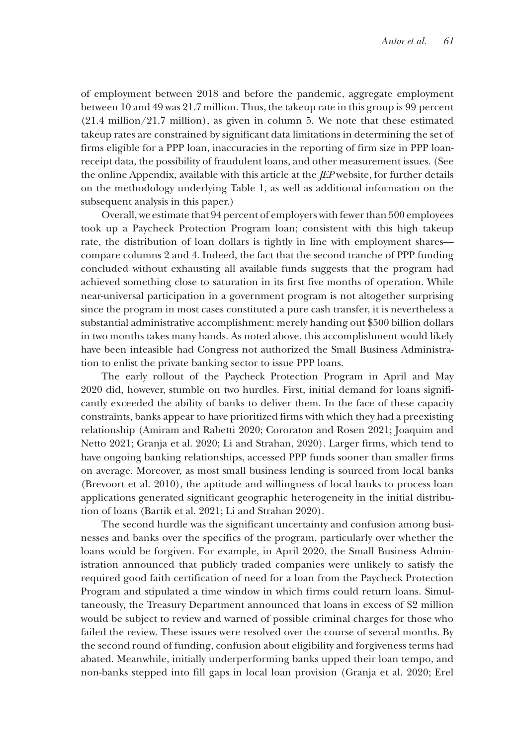of employment between 2018 and before the pandemic, aggregate employment between 10 and 49 was 21.7 million. Thus, the takeup rate in this group is 99 percent (21.4 million/21.7 million), as given in column 5. We note that these estimated takeup rates are constrained by significant data limitations in determining the set of firms eligible for a PPP loan, inaccuracies in the reporting of firm size in PPP loanreceipt data, the possibility of fraudulent loans, and other measurement issues. (See the online Appendix, available with this article at the *JEP* website, for further details on the methodology underlying Table 1, as well as additional information on the subsequent analysis in this paper.)

Overall, we estimate that 94 percent of employers with fewer than 500 employees took up a Paycheck Protection Program loan; consistent with this high takeup rate, the distribution of loan dollars is tightly in line with employment shares compare columns 2 and 4. Indeed, the fact that the second tranche of PPP funding concluded without exhausting all available funds suggests that the program had achieved something close to saturation in its first five months of operation. While near-universal participation in a government program is not altogether surprising since the program in most cases constituted a pure cash transfer, it is nevertheless a substantial administrative accomplishment: merely handing out \$500 billion dollars in two months takes many hands. As noted above, this accomplishment would likely have been infeasible had Congress not authorized the Small Business Administration to enlist the private banking sector to issue PPP loans.

The early rollout of the Paycheck Protection Program in April and May 2020 did, however, stumble on two hurdles. First, initial demand for loans significantly exceeded the ability of banks to deliver them. In the face of these capacity constraints, banks appear to have prioritized firms with which they had a preexisting relationship (Amiram and Rabetti 2020; Cororaton and Rosen 2021; Joaquim and Netto 2021; Granja et al. 2020; Li and Strahan, 2020). Larger firms, which tend to have ongoing banking relationships, accessed PPP funds sooner than smaller firms on average. Moreover, as most small business lending is sourced from local banks (Brevoort et al. 2010), the aptitude and willingness of local banks to process loan applications generated significant geographic heterogeneity in the initial distribution of loans (Bartik et al. 2021; Li and Strahan 2020).

The second hurdle was the significant uncertainty and confusion among businesses and banks over the specifics of the program, particularly over whether the loans would be forgiven. For example, in April 2020, the Small Business Administration announced that publicly traded companies were unlikely to satisfy the required good faith certification of need for a loan from the Paycheck Protection Program and stipulated a time window in which firms could return loans. Simultaneously, the Treasury Department announced that loans in excess of \$2 million would be subject to review and warned of possible criminal charges for those who failed the review. These issues were resolved over the course of several months. By the second round of funding, confusion about eligibility and forgiveness terms had abated. Meanwhile, initially underperforming banks upped their loan tempo, and non-banks stepped into fill gaps in local loan provision (Granja et al. 2020; Erel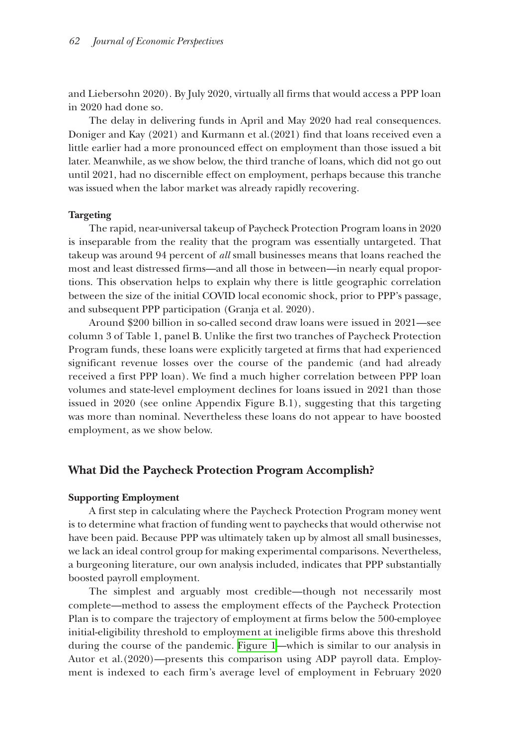and Liebersohn 2020). By July 2020, virtually all firms that would access a PPP loan in 2020 had done so.

The delay in delivering funds in April and May 2020 had real consequences. Doniger and Kay (2021) and Kurmann et al.(2021) find that loans received even a little earlier had a more pronounced effect on employment than those issued a bit later. Meanwhile, as we show below, the third tranche of loans, which did not go out until 2021, had no discernible effect on employment, perhaps because this tranche was issued when the labor market was already rapidly recovering.

#### **Targeting**

The rapid, near-universal takeup of Paycheck Protection Program loans in 2020 is inseparable from the reality that the program was essentially untargeted. That takeup was around 94 percent of *all* small businesses means that loans reached the most and least distressed firms—and all those in between—in nearly equal proportions. This observation helps to explain why there is little geographic correlation between the size of the initial COVID local economic shock, prior to PPP's passage, and subsequent PPP participation (Granja et al. 2020).

Around \$200 billion in so-called second draw loans were issued in 2021—see column 3 of Table 1, panel B. Unlike the first two tranches of Paycheck Protection Program funds, these loans were explicitly targeted at firms that had experienced significant revenue losses over the course of the pandemic (and had already received a first PPP loan). We find a much higher correlation between PPP loan volumes and state-level employment declines for loans issued in 2021 than those issued in 2020 (see online Appendix Figure B.1), suggesting that this targeting was more than nominal. Nevertheless these loans do not appear to have boosted employment, as we show below.

# **What Did the Paycheck Protection Program Accomplish?**

#### **Supporting Employment**

A first step in calculating where the Paycheck Protection Program money went is to determine what fraction of funding went to paychecks that would otherwise not have been paid. Because PPP was ultimately taken up by almost all small businesses, we lack an ideal control group for making experimental comparisons. Nevertheless, a burgeoning literature, our own analysis included, indicates that PPP substantially boosted payroll employment.

The simplest and arguably most credible—though not necessarily most complete—method to assess the employment effects of the Paycheck Protection Plan is to compare the trajectory of employment at firms below the 500-employee initial-eligibility threshold to employment at ineligible firms above this threshold during the course of the pandemic. [Figure 1—](#page-8-0)which is similar to our analysis in Autor et al.(2020)—presents this comparison using ADP payroll data. Employment is indexed to each firm's average level of employment in February 2020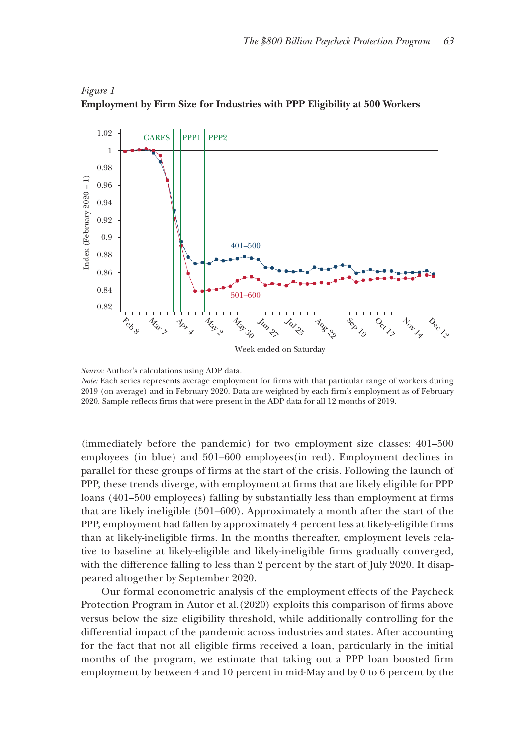

# <span id="page-8-0"></span>*Figure 1* **Employment by Firm Size for Industries with PPP Eligibility at 500 Workers**

*Source:* Author's calculations using ADP data.

*Note:* Each series represents average employment for firms with that particular range of workers during 2019 (on average) and in February 2020. Data are weighted by each firm's employment as of February 2020. Sample reflects firms that were present in the ADP data for all 12 months of 2019.

(immediately before the pandemic) for two employment size classes: 401–500 employees (in blue) and 501–600 employees(in red). Employment declines in parallel for these groups of firms at the start of the crisis. Following the launch of PPP, these trends diverge, with employment at firms that are likely eligible for PPP loans (401–500 employees) falling by substantially less than employment at firms that are likely ineligible (501–600). Approximately a month after the start of the PPP, employment had fallen by approximately 4 percent less at likely-eligible firms than at likely-ineligible firms. In the months thereafter, employment levels relative to baseline at likely-eligible and likely-ineligible firms gradually converged, with the difference falling to less than 2 percent by the start of July 2020. It disappeared altogether by September 2020.

Our formal econometric analysis of the employment effects of the Paycheck Protection Program in Autor et al.(2020) exploits this comparison of firms above versus below the size eligibility threshold, while additionally controlling for the differential impact of the pandemic across industries and states. After accounting for the fact that not all eligible firms received a loan, particularly in the initial months of the program, we estimate that taking out a PPP loan boosted firm employment by between 4 and 10 percent in mid-May and by 0 to 6 percent by the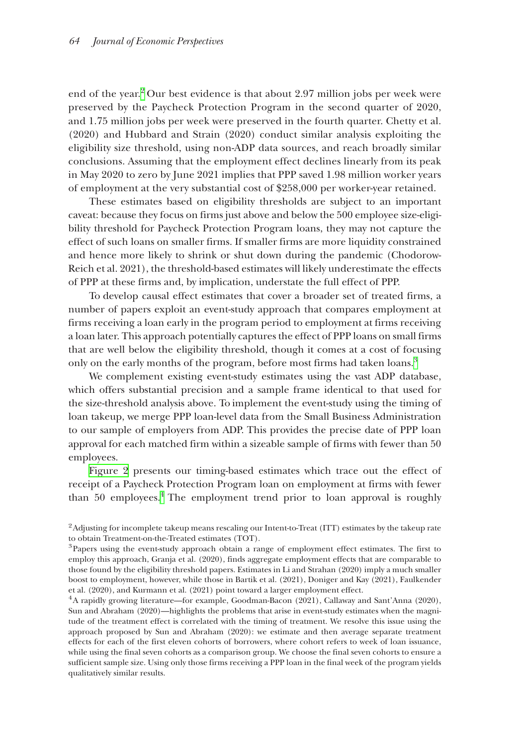end of the year.<sup>2</sup> Our best evidence is that about 2.97 million jobs per week were preserved by the Paycheck Protection Program in the second quarter of 2020, and 1.75 million jobs per week were preserved in the fourth quarter. Chetty et al. (2020) and Hubbard and Strain (2020) conduct similar analysis exploiting the eligibility size threshold, using non-ADP data sources, and reach broadly similar conclusions. Assuming that the employment effect declines linearly from its peak in May 2020 to zero by June 2021 implies that PPP saved 1.98 million worker years of employment at the very substantial cost of \$258,000 per worker-year retained.

These estimates based on eligibility thresholds are subject to an important caveat: because they focus on firms just above and below the 500 employee size-eligibility threshold for Paycheck Protection Program loans, they may not capture the effect of such loans on smaller firms. If smaller firms are more liquidity constrained and hence more likely to shrink or shut down during the pandemic (Chodorow-Reich et al. 2021), the threshold-based estimates will likely underestimate the effects of PPP at these firms and, by implication, understate the full effect of PPP.

To develop causal effect estimates that cover a broader set of treated firms, a number of papers exploit an event-study approach that compares employment at firms receiving a loan early in the program period to employment at firms receiving a loan later. This approach potentially captures the effect of PPP loans on small firms that are well below the eligibility threshold, though it comes at a cost of focusing only on the early months of the program, before most firms had taken loans.<sup>3</sup>

We complement existing event-study estimates using the vast ADP database, which offers substantial precision and a sample frame identical to that used for the size-threshold analysis above. To implement the event-study using the timing of loan takeup, we merge PPP loan-level data from the Small Business Administration to our sample of employers from ADP. This provides the precise date of PPP loan approval for each matched firm within a sizeable sample of firms with fewer than 50 employees.

[Figure 2](#page-10-0) presents our timing-based estimates which trace out the effect of receipt of a Paycheck Protection Program loan on employment at firms with fewer than 50 employees.<sup>[4](#page-9-2)</sup> The employment trend prior to loan approval is roughly

<span id="page-9-2"></span>Sun and Abraham (2020)—highlights the problems that arise in event-study estimates when the magnitude of the treatment effect is correlated with the timing of treatment. We resolve this issue using the approach proposed by Sun and Abraham (2020): we estimate and then average separate treatment effects for each of the first eleven cohorts of borrowers, where cohort refers to week of loan issuance, while using the final seven cohorts as a comparison group. We choose the final seven cohorts to ensure a sufficient sample size. Using only those firms receiving a PPP loan in the final week of the program yields qualitatively similar results.

<span id="page-9-0"></span><sup>2</sup>Adjusting for incomplete takeup means rescaling our Intent-to-Treat (ITT) estimates by the takeup rate to obtain Treatment-on-the-Treated estimates (TOT).

<span id="page-9-1"></span><sup>&</sup>lt;sup>3</sup>Papers using the event-study approach obtain a range of employment effect estimates. The first to employ this approach, Granja et al. (2020), finds aggregate employment effects that are comparable to those found by the eligibility threshold papers. Estimates in Li and Strahan (2020) imply a much smaller boost to employment, however, while those in Bartik et al. (2021), Doniger and Kay (2021), Faulkender et al. (2020), and Kurmann et al. (2021) point toward a larger employment effect. 4A rapidly growing literature—for example, Goodman-Bacon (2021), Callaway and Sant'Anna (2020),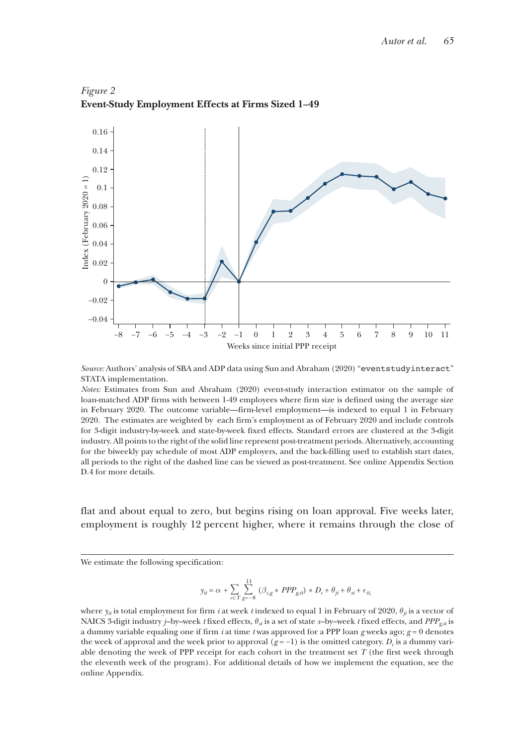

<span id="page-10-0"></span>*Figure 2* **Event-Study Employment Effects at Firms Sized 1–49**

*Source:* Authors' analysis of SBA and ADP data using Sun and Abraham (2020) "eventstudyinteract" STATA implementation.

*Notes:* Estimates from Sun and Abraham (2020) event-study interaction estimator on the sample of loan-matched ADP firms with between 1-49 employees where firm size is defined using the average size in February 2020. The outcome variable—firm-level employment—is indexed to equal 1 in February 2020. The estimates are weighted by each firm's employment as of February 2020 and include controls for 3-digit industry-by-week and state-by-week fixed effects. Standard errors are clustered at the 3-digit industry. All points to the right of the solid line represent post-treatment periods. Alternatively, accounting for the biweekly pay schedule of most ADP employers, and the back-filling used to establish start dates, all periods to the right of the dashed line can be viewed as post-treatment. See online Appendix Section D.4 for more details.

flat and about equal to zero, but begins rising on loan approval. Five weeks later, employment is roughly 12 percent higher, where it remains through the close of

We estimate the following specification:

$$
y_{it} = \alpha \, + \displaystyle \sum_{c \in T} \sum_{g=-8}^{11} \, \left( \beta_{c,g} * \, PPP_{g,it} \right) \, * \, D_c + \theta_{jt} + \theta_{st} + \epsilon_{it,}
$$

where  $y_{ii}$  is total employment for firm *i* at week *t* indexed to equal 1 in February of 2020,  $\theta_{ii}$  is a vector of NAICS 3-digit industry *j*–by–week *t* fixed effects, θ*st* is a set of state *s*–by–week *t* fixed effects, and *PPPg*,*it* is a dummy variable equaling one if firm *i* at time *t* was approved for a PPP loan *g* weeks ago; *g* = 0 denotes the week of approval and the week prior to approval  $(g = -1)$  is the omitted category.  $D_c$  is a dummy variable denoting the week of PPP receipt for each cohort in the treatment set  $T$  (the first week through the eleventh week of the program). For additional details of how we implement the equation, see the online Appendix.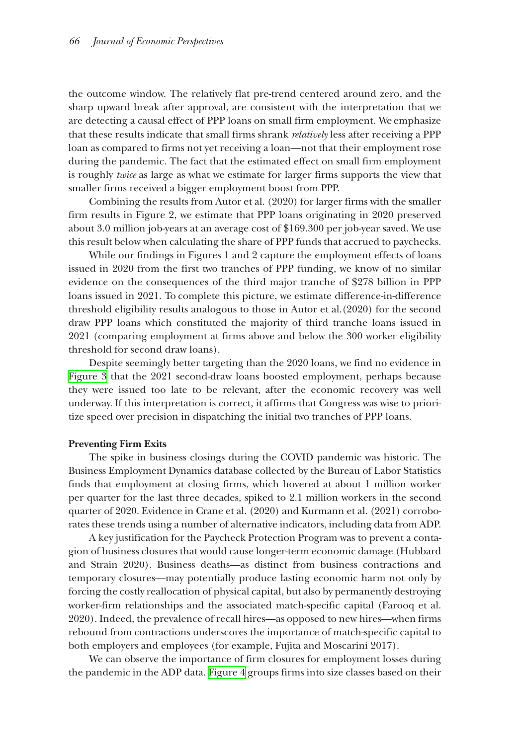the outcome window. The relatively flat pre-trend centered around zero, and the sharp upward break after approval, are consistent with the interpretation that we are detecting a causal effect of PPP loans on small firm employment. We emphasize that these results indicate that small firms shrank *relatively* less after receiving a PPP loan as compared to firms not yet receiving a loan—not that their employment rose during the pandemic. The fact that the estimated effect on small firm employment is roughly *twice* as large as what we estimate for larger firms supports the view that smaller firms received a bigger employment boost from PPP.

Combining the results from Autor et al. (2020) for larger firms with the smaller firm results in Figure 2, we estimate that PPP loans originating in 2020 preserved about 3.0 million job-years at an average cost of \$169.300 per job-year saved. We use this result below when calculating the share of PPP funds that accrued to paychecks.

While our findings in Figures 1 and 2 capture the employment effects of loans issued in 2020 from the first two tranches of PPP funding, we know of no similar evidence on the consequences of the third major tranche of \$278 billion in PPP loans issued in 2021. To complete this picture, we estimate difference-in-difference threshold eligibility results analogous to those in Autor et al.(2020) for the second draw PPP loans which constituted the majority of third tranche loans issued in 2021 (comparing employment at firms above and below the 300 worker eligibility threshold for second draw loans).

Despite seemingly better targeting than the 2020 loans, we find no evidence in [Figure 3](#page-12-0) that the 2021 second-draw loans boosted employment, perhaps because they were issued too late to be relevant, after the economic recovery was well underway. If this interpretation is correct, it affirms that Congress was wise to prioritize speed over precision in dispatching the initial two tranches of PPP loans.

#### **Preventing Firm Exits**

The spike in business closings during the COVID pandemic was historic. The Business Employment Dynamics database collected by the Bureau of Labor Statistics finds that employment at closing firms, which hovered at about 1 million worker per quarter for the last three decades, spiked to 2.1 million workers in the second quarter of 2020. Evidence in Crane et al. (2020) and Kurmann et al. (2021) corroborates these trends using a number of alternative indicators, including data from ADP.

A key justification for the Paycheck Protection Program was to prevent a contagion of business closures that would cause longer-term economic damage (Hubbard and Strain 2020). Business deaths—as distinct from business contractions and temporary closures—may potentially produce lasting economic harm not only by forcing the costly reallocation of physical capital, but also by permanently destroying worker-firm relationships and the associated match-specific capital (Farooq et al. 2020). Indeed, the prevalence of recall hires—as opposed to new hires—when firms rebound from contractions underscores the importance of match-specific capital to both employers and employees (for example, Fujita and Moscarini 2017).

We can observe the importance of firm closures for employment losses during the pandemic in the ADP data. [Figure 4](#page-13-0) groups firms into size classes based on their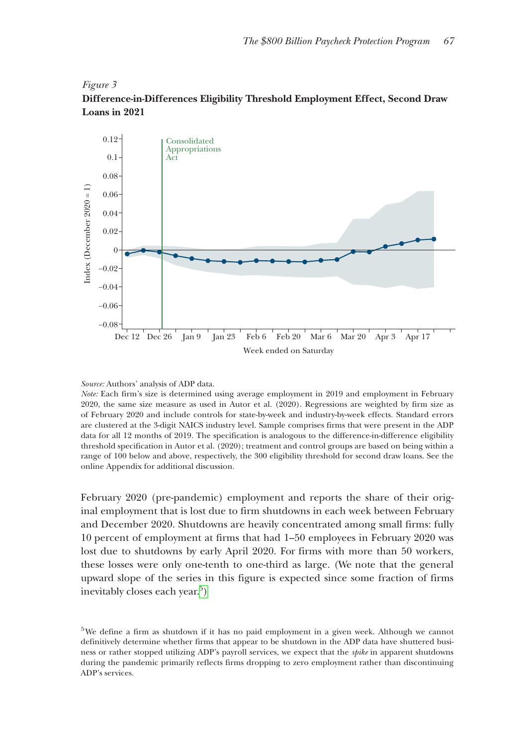<span id="page-12-0"></span>



*Source:* Authors' analysis of ADP data.

*Note:* Each firm's size is determined using average employment in 2019 and employment in February 2020, the same size measure as used in Autor et al. (2020). Regressions are weighted by firm size as of February 2020 and include controls for state-by-week and industry-by-week effects. Standard errors are clustered at the 3-digit NAICS industry level. Sample comprises firms that were present in the ADP data for all 12 months of 2019. The specification is analogous to the difference-in-difference eligibility threshold specification in Autor et al. (2020); treatment and control groups are based on being within a range of 100 below and above, respectively, the 300 eligibility threshold for second draw loans. See the online Appendix for additional discussion.

February 2020 (pre-pandemic) employment and reports the share of their original employment that is lost due to firm shutdowns in each week between February and December 2020. Shutdowns are heavily concentrated among small firms: fully 10 percent of employment at firms that had 1–50 employees in February 2020 was lost due to shutdowns by early April 2020. For firms with more than 50 workers, these losses were only one-tenth to one-third as large. (We note that the general upward slope of the series in this figure is expected since some fraction of firms inevitably closes each year.<sup>5</sup>[\)](#page-12-1)

<span id="page-12-1"></span>5We define a firm as shutdown if it has no paid employment in a given week. Although we cannot definitively determine whether firms that appear to be shutdown in the ADP data have shuttered business or rather stopped utilizing ADP's payroll services, we expect that the *spike* in apparent shutdowns during the pandemic primarily reflects firms dropping to zero employment rather than discontinuing ADP's services.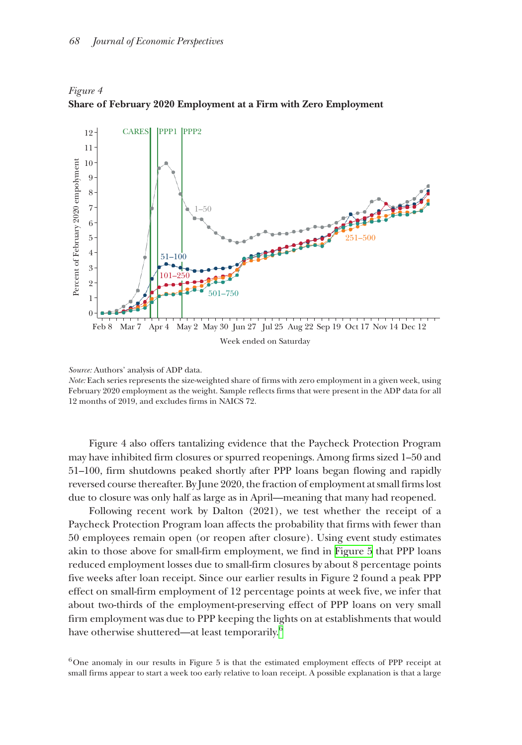

<span id="page-13-0"></span>*Figure 4* **Share of February 2020 Employment at a Firm with Zero Employment**

*Note:* Each series represents the size-weighted share of firms with zero employment in a given week, using February 2020 employment as the weight. Sample reflects firms that were present in the ADP data for all 12 months of 2019, and excludes firms in NAICS 72.

Figure 4 also offers tantalizing evidence that the Paycheck Protection Program may have inhibited firm closures or spurred reopenings. Among firms sized 1–50 and 51–100, firm shutdowns peaked shortly after PPP loans began flowing and rapidly reversed course thereafter. By June 2020, the fraction of employment at small firms lost due to closure was only half as large as in April—meaning that many had reopened.

Following recent work by Dalton (2021), we test whether the receipt of a Paycheck Protection Program loan affects the probability that firms with fewer than 50 employees remain open (or reopen after closure). Using event study estimates akin to those above for small-firm employment, we find in [Figure 5](#page-14-0) that PPP loans reduced employment losses due to small-firm closures by about 8 percentage points five weeks after loan receipt. Since our earlier results in Figure 2 found a peak PPP effect on small-firm employment of 12 percentage points at week five, we infer that about two-thirds of the employment-preserving effect of PPP loans on very small firm employment was due to PPP keeping the lights on at establishments that would have otherwise shuttered—at least temporarily.<sup>6</sup>

<span id="page-13-1"></span> $6$ One anomaly in our results in Figure 5 is that the estimated employment effects of PPP receipt at

*Source:* Authors' analysis of ADP data.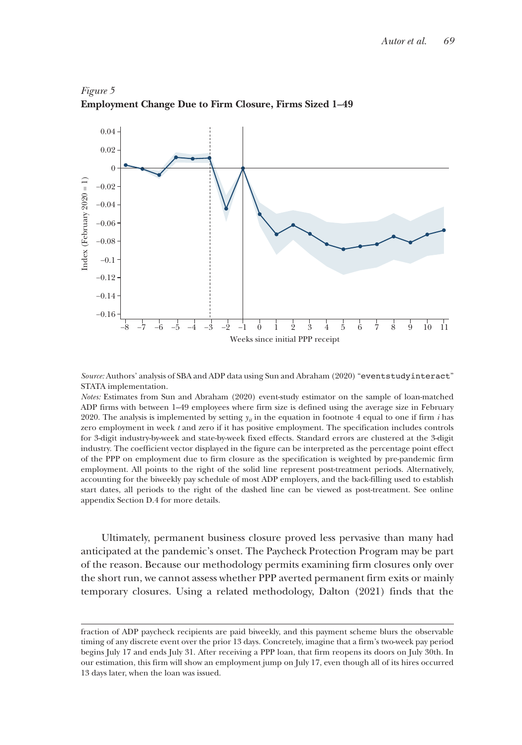

<span id="page-14-0"></span>*Figure 5* **Employment Change Due to Firm Closure, Firms Sized 1–49**

*Source:* Authors' analysis of SBA and ADP data using Sun and Abraham (2020) "eventstudyinteract" STATA implementation.

*Notes:* Estimates from Sun and Abraham (2020) event-study estimator on the sample of loan-matched ADP firms with between 1–49 employees where firm size is defined using the average size in February 2020. The analysis is implemented by setting  $y_i$  in the equation in footnote 4 equal to one if firm *i* has zero employment in week *t* and zero if it has positive employment. The specification includes controls for 3-digit industry-by-week and state-by-week fixed effects. Standard errors are clustered at the 3-digit industry. The coefficient vector displayed in the figure can be interpreted as the percentage point effect of the PPP on employment due to firm closure as the specification is weighted by pre-pandemic firm employment. All points to the right of the solid line represent post-treatment periods. Alternatively, accounting for the biweekly pay schedule of most ADP employers, and the back-filling used to establish start dates, all periods to the right of the dashed line can be viewed as post-treatment. See online appendix Section D.4 for more details.

Ultimately, permanent business closure proved less pervasive than many had anticipated at the pandemic's onset. The Paycheck Protection Program may be part of the reason. Because our methodology permits examining firm closures only over the short run, we cannot assess whether PPP averted permanent firm exits or mainly temporary closures. Using a related methodology, Dalton (2021) finds that the

fraction of ADP paycheck recipients are paid biweekly, and this payment scheme blurs the observable timing of any discrete event over the prior 13 days. Concretely, imagine that a firm's two-week pay period begins July 17 and ends July 31. After receiving a PPP loan, that firm reopens its doors on July 30th. In our estimation, this firm will show an employment jump on July 17, even though all of its hires occurred 13 days later, when the loan was issued.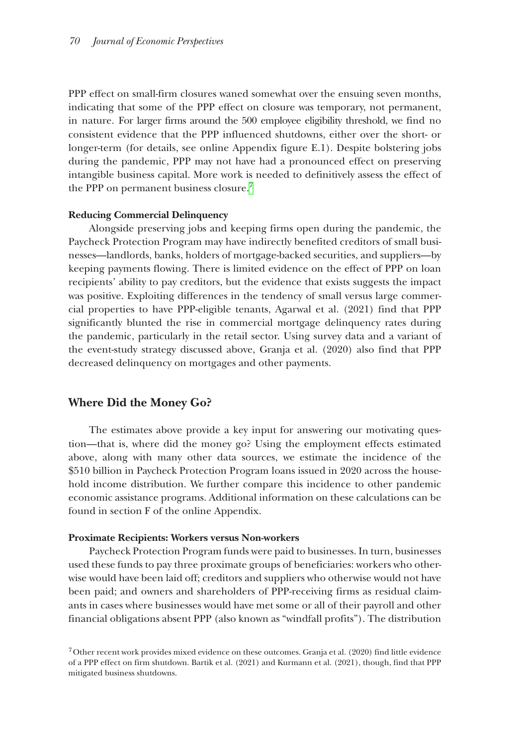PPP effect on small-firm closures waned somewhat over the ensuing seven months, indicating that some of the PPP effect on closure was temporary, not permanent, in nature. For larger firms around the 500 employee eligibility threshold, we find no consistent evidence that the PPP influenced shutdowns, either over the short- or longer-term (for details, see online Appendix figure E.1). Despite bolstering jobs during the pandemic, PPP may not have had a pronounced effect on preserving intangible business capital. More work is needed to definitively assess the effect of the PPP on permanent business closure.<sup>[7](#page-15-0)</sup>

#### **Reducing Commercial Delinquency**

Alongside preserving jobs and keeping firms open during the pandemic, the Paycheck Protection Program may have indirectly benefited creditors of small businesses—landlords, banks, holders of mortgage-backed securities, and suppliers—by keeping payments flowing. There is limited evidence on the effect of PPP on loan recipients' ability to pay creditors, but the evidence that exists suggests the impact was positive. Exploiting differences in the tendency of small versus large commercial properties to have PPP-eligible tenants, Agarwal et al. (2021) find that PPP significantly blunted the rise in commercial mortgage delinquency rates during the pandemic, particularly in the retail sector. Using survey data and a variant of the event-study strategy discussed above, Granja et al. (2020) also find that PPP decreased delinquency on mortgages and other payments.

# **Where Did the Money Go?**

The estimates above provide a key input for answering our motivating question—that is, where did the money go? Using the employment effects estimated above, along with many other data sources, we estimate the incidence of the \$510 billion in Paycheck Protection Program loans issued in 2020 across the household income distribution. We further compare this incidence to other pandemic economic assistance programs. Additional information on these calculations can be found in section F of the online Appendix.

#### **Proximate Recipients: Workers versus Non-workers**

Paycheck Protection Program funds were paid to businesses. In turn, businesses used these funds to pay three proximate groups of beneficiaries: workers who otherwise would have been laid off; creditors and suppliers who otherwise would not have been paid; and owners and shareholders of PPP-receiving firms as residual claimants in cases where businesses would have met some or all of their payroll and other financial obligations absent PPP (also known as "windfall profits"). The distribution

<span id="page-15-0"></span><sup>7</sup>Other recent work provides mixed evidence on these outcomes. Granja et al. (2020) find little evidence of a PPP effect on firm shutdown. Bartik et al. (2021) and Kurmann et al. (2021), though, find that PPP mitigated business shutdowns.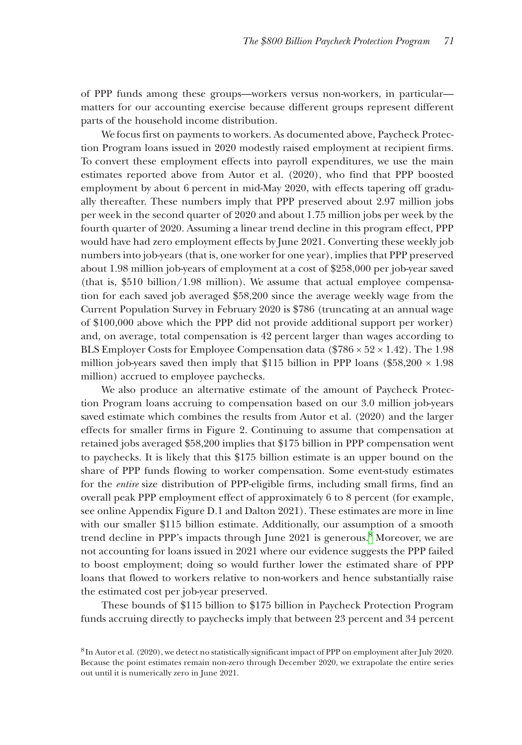of PPP funds among these groups—workers versus non-workers, in particular matters for our accounting exercise because different groups represent different parts of the household income distribution.

We focus first on payments to workers. As documented above, Paycheck Protection Program loans issued in 2020 modestly raised employment at recipient firms. To convert these employment effects into payroll expenditures, we use the main estimates reported above from Autor et al. (2020), who find that PPP boosted employment by about 6 percent in mid-May 2020, with effects tapering off gradually thereafter. These numbers imply that PPP preserved about 2.97 million jobs per week in the second quarter of 2020 and about 1.75 million jobs per week by the fourth quarter of 2020. Assuming a linear trend decline in this program effect, PPP would have had zero employment effects by June 2021. Converting these weekly job numbers into job-years (that is, one worker for one year), implies that PPP preserved about 1.98 million job-years of employment at a cost of \$258,000 per job-year saved (that is, \$510 billion/1.98 million). We assume that actual employee compensation for each saved job averaged \$58,200 since the average weekly wage from the Current Population Survey in February 2020 is \$786 (truncating at an annual wage of \$100,000 above which the PPP did not provide additional support per worker) and, on average, total compensation is 42 percent larger than wages according to BLS Employer Costs for Employee Compensation data (\$786  $\times$  52  $\times$  1.42). The 1.98 million job-years saved then imply that \$115 billion in PPP loans (\$58,200  $\times$  1.98 million) accrued to employee paychecks.

We also produce an alternative estimate of the amount of Paycheck Protection Program loans accruing to compensation based on our 3.0 million job-years saved estimate which combines the results from Autor et al. (2020) and the larger effects for smaller firms in Figure 2. Continuing to assume that compensation at retained jobs averaged \$58,200 implies that \$175 billion in PPP compensation went to paychecks. It is likely that this \$175 billion estimate is an upper bound on the share of PPP funds flowing to worker compensation. Some event-study estimates for the *entire* size distribution of PPP-eligible firms, including small firms, find an overall peak PPP employment effect of approximately 6 to 8 percent (for example, see online Appendix Figure D.1 and Dalton 2021). These estimates are more in line with our smaller \$115 billion estimate. Additionally, our assumption of a smooth trend decline in PPP's impacts through June 2021 is generous.<sup>[8](#page-16-0)</sup> Moreover, we are not accounting for loans issued in 2021 where our evidence suggests the PPP failed to boost employment; doing so would further lower the estimated share of PPP loans that flowed to workers relative to non-workers and hence substantially raise the estimated cost per job-year preserved.

These bounds of \$115 billion to \$175 billion in Paycheck Protection Program funds accruing directly to paychecks imply that between 23 percent and 34 percent

<span id="page-16-0"></span><sup>8</sup>In Autor et al. (2020), we detect no statistically significant impact of PPP on employment after July 2020. Because the point estimates remain non-zero through December 2020, we extrapolate the entire series out until it is numerically zero in June 2021.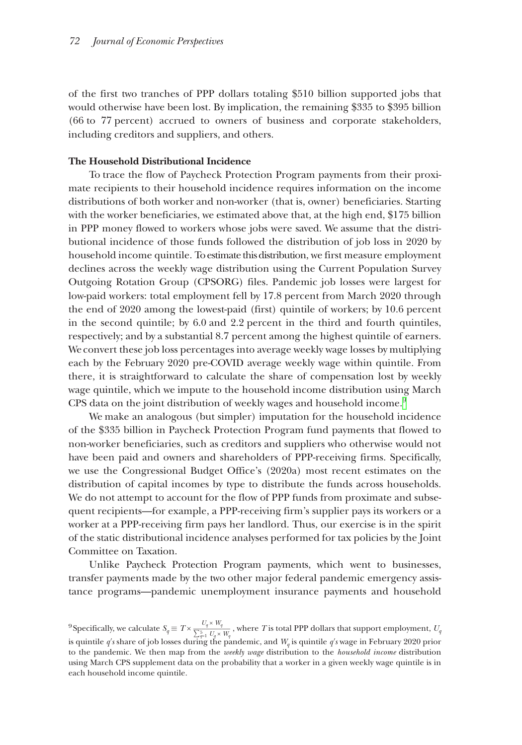of the first two tranches of PPP dollars totaling \$510 billion supported jobs that would otherwise have been lost. By implication, the remaining \$335 to \$395 billion (66 to 77 percent) accrued to owners of business and corporate stakeholders, including creditors and suppliers, and others.

#### **The Household Distributional Incidence**

To trace the flow of Paycheck Protection Program payments from their proximate recipients to their household incidence requires information on the income distributions of both worker and non-worker (that is, owner) beneficiaries. Starting with the worker beneficiaries, we estimated above that, at the high end, \$175 billion in PPP money flowed to workers whose jobs were saved. We assume that the distributional incidence of those funds followed the distribution of job loss in 2020 by household income quintile. To estimate this distribution, we first measure employment declines across the weekly wage distribution using the Current Population Survey Outgoing Rotation Group (CPSORG) files. Pandemic job losses were largest for low-paid workers: total employment fell by 17.8 percent from March 2020 through the end of 2020 among the lowest-paid (first) quintile of workers; by 10.6 percent in the second quintile; by 6.0 and 2.2 percent in the third and fourth quintiles, respectively; and by a substantial 8.7 percent among the highest quintile of earners. We convert these job loss percentages into average weekly wage losses by multiplying each by the February 2020 pre-COVID average weekly wage within quintile. From there, it is straightforward to calculate the share of compensation lost by weekly wage quintile, which we impute to the household income distribution using March CPS data on the joint distribution of weekly wages and household income.<sup>[9](#page-17-0)</sup>

We make an analogous (but simpler) imputation for the household incidence of the \$335 billion in Paycheck Protection Program fund payments that flowed to non-worker beneficiaries, such as creditors and suppliers who otherwise would not have been paid and owners and shareholders of PPP-receiving firms. Specifically, we use the Congressional Budget Office's (2020a) most recent estimates on the distribution of capital incomes by type to distribute the funds across households. We do not attempt to account for the flow of PPP funds from proximate and subsequent recipients—for example, a PPP-receiving firm's supplier pays its workers or a worker at a PPP-receiving firm pays her landlord. Thus, our exercise is in the spirit of the static distributional incidence analyses performed for tax policies by the Joint Committee on Taxation.

Unlike Paycheck Protection Program payments, which went to businesses, transfer payments made by the two other major federal pandemic emergency assistance programs—pandemic unemployment insurance payments and household

<span id="page-17-0"></span> $^9$ Specifically, we calculate  $S_q \equiv T \times \frac{U_q \times W_q}{\sum_{q=1}^5 U_q \times W_q}$ , where *T* is total PPP dollars that support employment,  $U_q$ is quintile *q*′*s* share of job losses during the pandemic, and *Wq* is quintile *q*′*s* wage in February 2020 prior to the pandemic. We then map from the *weekly wage* distribution to the *household income* distribution using March CPS supplement data on the probability that a worker in a given weekly wage quintile is in each household income quintile.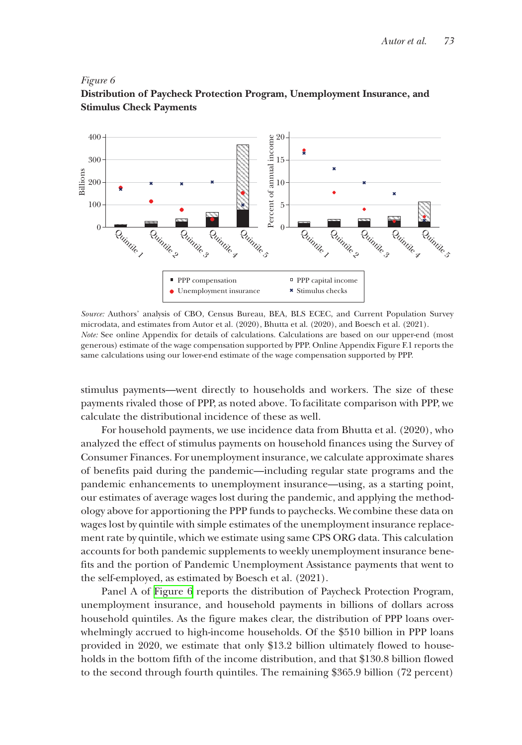#### *Figure 6*



# **Distribution of Paycheck Protection Program, Unemployment Insurance, and Stimulus Check Payments**

*Source:* Authors' analysis of CBO, Census Bureau, BEA, BLS ECEC, and Current Population Survey microdata, and estimates from Autor et al. (2020), Bhutta et al. (2020), and Boesch et al. (2021). *Note:* See online Appendix for details of calculations. Calculations are based on our upper-end (most generous) estimate of the wage compensation supported by PPP. Online Appendix Figure F.1 reports the same calculations using our lower-end estimate of the wage compensation supported by PPP.

stimulus payments—went directly to households and workers. The size of these payments rivaled those of PPP, as noted above. To facilitate comparison with PPP, we calculate the distributional incidence of these as well.

For household payments, we use incidence data from Bhutta et al. (2020), who analyzed the effect of stimulus payments on household finances using the Survey of Consumer Finances. For unemployment insurance, we calculate approximate shares of benefits paid during the pandemic—including regular state programs and the pandemic enhancements to unemployment insurance—using, as a starting point, our estimates of average wages lost during the pandemic, and applying the methodology above for apportioning the PPP funds to paychecks. We combine these data on wages lost by quintile with simple estimates of the unemployment insurance replacement rate by quintile, which we estimate using same CPS ORG data. This calculation accounts for both pandemic supplements to weekly unemployment insurance benefits and the portion of Pandemic Unemployment Assistance payments that went to the self-employed, as estimated by Boesch et al. (2021).

Panel A of Figure 6 reports the distribution of Paycheck Protection Program, unemployment insurance, and household payments in billions of dollars across household quintiles. As the figure makes clear, the distribution of PPP loans overwhelmingly accrued to high-income households. Of the \$510 billion in PPP loans provided in 2020, we estimate that only \$13.2 billion ultimately flowed to households in the bottom fifth of the income distribution, and that \$130.8 billion flowed to the second through fourth quintiles. The remaining \$365.9 billion (72 percent)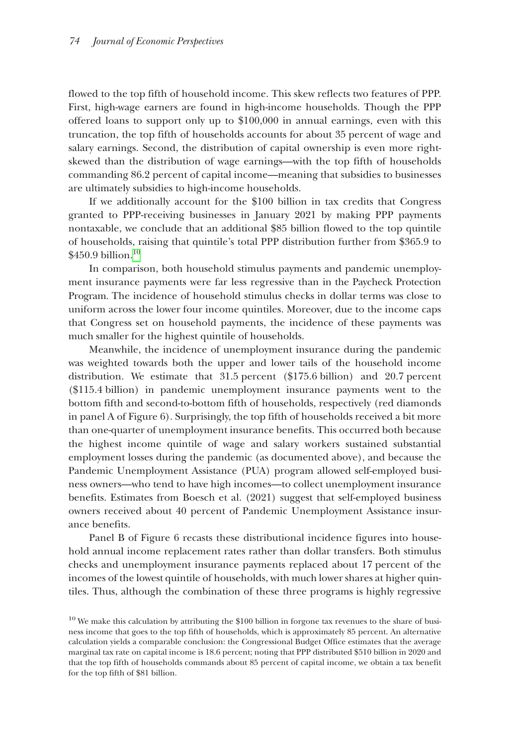flowed to the top fifth of household income. This skew reflects two features of PPP. First, high-wage earners are found in high-income households. Though the PPP offered loans to support only up to \$100,000 in annual earnings, even with this truncation, the top fifth of households accounts for about 35 percent of wage and salary earnings. Second, the distribution of capital ownership is even more rightskewed than the distribution of wage earnings—with the top fifth of households commanding 86.2 percent of capital income—meaning that subsidies to businesses are ultimately subsidies to high-income households.

If we additionally account for the \$100 billion in tax credits that Congress granted to PPP-receiving businesses in January 2021 by making PPP payments nontaxable, we conclude that an additional \$85 billion flowed to the top quintile of households, raising that quintile's total PPP distribution further from \$365.9 to \$450.9 billion.<sup>10</sup>

In comparison, both household stimulus payments and pandemic unemployment insurance payments were far less regressive than in the Paycheck Protection Program. The incidence of household stimulus checks in dollar terms was close to uniform across the lower four income quintiles. Moreover, due to the income caps that Congress set on household payments, the incidence of these payments was much smaller for the highest quintile of households.

Meanwhile, the incidence of unemployment insurance during the pandemic was weighted towards both the upper and lower tails of the household income distribution. We estimate that 31.5 percent (\$175.6 billion) and 20.7 percent (\$115.4 billion) in pandemic unemployment insurance payments went to the bottom fifth and second-to-bottom fifth of households, respectively (red diamonds in panel A of Figure 6). Surprisingly, the top fifth of households received a bit more than one-quarter of unemployment insurance benefits. This occurred both because the highest income quintile of wage and salary workers sustained substantial employment losses during the pandemic (as documented above), and because the Pandemic Unemployment Assistance (PUA) program allowed self-employed business owners—who tend to have high incomes—to collect unemployment insurance benefits. Estimates from Boesch et al. (2021) suggest that self-employed business owners received about 40 percent of Pandemic Unemployment Assistance insurance benefits.

Panel B of Figure 6 recasts these distributional incidence figures into household annual income replacement rates rather than dollar transfers. Both stimulus checks and unemployment insurance payments replaced about 17 percent of the incomes of the lowest quintile of households, with much lower shares at higher quintiles. Thus, although the combination of these three programs is highly regressive

<span id="page-19-0"></span> $10$  We make this calculation by attributing the \$100 billion in forgone tax revenues to the share of business income that goes to the top fifth of households, which is approximately 85 percent. An alternative calculation yields a comparable conclusion: the Congressional Budget Office estimates that the average marginal tax rate on capital income is 18.6 percent; noting that PPP distributed \$510 billion in 2020 and that the top fifth of households commands about 85 percent of capital income, we obtain a tax benefit for the top fifth of \$81 billion.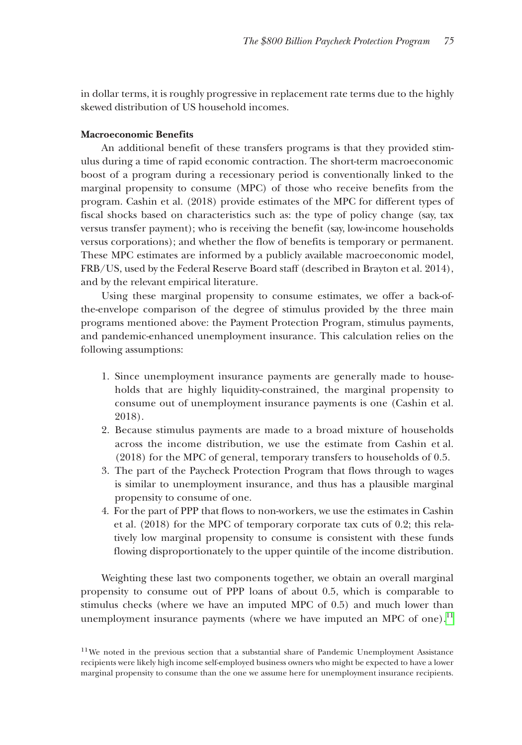in dollar terms, it is roughly progressive in replacement rate terms due to the highly skewed distribution of US household incomes.

#### **Macroeconomic Benefits**

An additional benefit of these transfers programs is that they provided stimulus during a time of rapid economic contraction. The short-term macroeconomic boost of a program during a recessionary period is conventionally linked to the marginal propensity to consume (MPC) of those who receive benefits from the program. Cashin et al. (2018) provide estimates of the MPC for different types of fiscal shocks based on characteristics such as: the type of policy change (say, tax versus transfer payment); who is receiving the benefit (say, low-income households versus corporations); and whether the flow of benefits is temporary or permanent. These MPC estimates are informed by a publicly available macroeconomic model, FRB/US, used by the Federal Reserve Board staff (described in Brayton et al. 2014), and by the relevant empirical literature.

Using these marginal propensity to consume estimates, we offer a back-ofthe-envelope comparison of the degree of stimulus provided by the three main programs mentioned above: the Payment Protection Program, stimulus payments, and pandemic-enhanced unemployment insurance. This calculation relies on the following assumptions:

- 1. Since unemployment insurance payments are generally made to households that are highly liquidity-constrained, the marginal propensity to consume out of unemployment insurance payments is one (Cashin et al. 2018).
- 2. Because stimulus payments are made to a broad mixture of households across the income distribution, we use the estimate from Cashin et al. (2018) for the MPC of general, temporary transfers to households of 0.5.
- 3. The part of the Paycheck Protection Program that flows through to wages is similar to unemployment insurance, and thus has a plausible marginal propensity to consume of one.
- 4. For the part of PPP that flows to non-workers, we use the estimates in Cashin et al. (2018) for the MPC of temporary corporate tax cuts of 0.2; this relatively low marginal propensity to consume is consistent with these funds flowing disproportionately to the upper quintile of the income distribution.

Weighting these last two components together, we obtain an overall marginal propensity to consume out of PPP loans of about 0.5, which is comparable to stimulus checks (where we have an imputed MPC of 0.5) and much lower than unemployment insurance payments (where we have imputed an MPC of one).<sup>[11](#page-20-0)</sup>

<span id="page-20-0"></span><sup>&</sup>lt;sup>11</sup>We noted in the previous section that a substantial share of Pandemic Unemployment Assistance recipients were likely high income self-employed business owners who might be expected to have a lower marginal propensity to consume than the one we assume here for unemployment insurance recipients.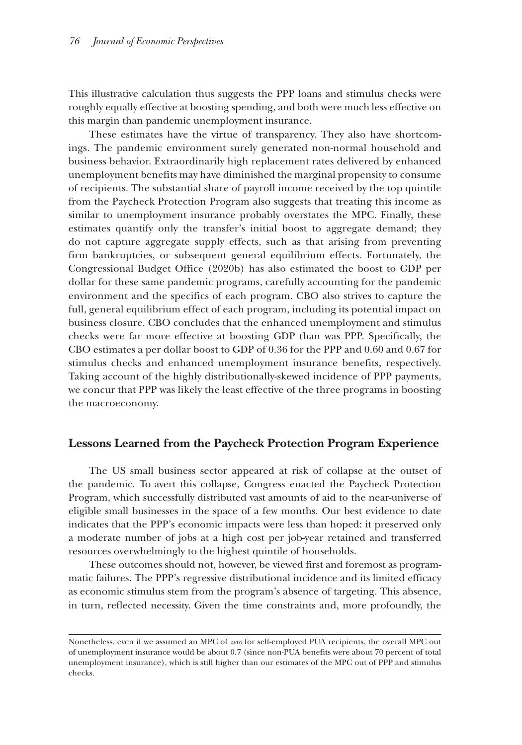This illustrative calculation thus suggests the PPP loans and stimulus checks were roughly equally effective at boosting spending, and both were much less effective on this margin than pandemic unemployment insurance.

These estimates have the virtue of transparency. They also have shortcomings. The pandemic environment surely generated non-normal household and business behavior. Extraordinarily high replacement rates delivered by enhanced unemployment benefits may have diminished the marginal propensity to consume of recipients. The substantial share of payroll income received by the top quintile from the Paycheck Protection Program also suggests that treating this income as similar to unemployment insurance probably overstates the MPC. Finally, these estimates quantify only the transfer's initial boost to aggregate demand; they do not capture aggregate supply effects, such as that arising from preventing firm bankruptcies, or subsequent general equilibrium effects. Fortunately, the Congressional Budget Office (2020b) has also estimated the boost to GDP per dollar for these same pandemic programs, carefully accounting for the pandemic environment and the specifics of each program. CBO also strives to capture the full, general equilibrium effect of each program, including its potential impact on business closure. CBO concludes that the enhanced unemployment and stimulus checks were far more effective at boosting GDP than was PPP. Specifically, the CBO estimates a per dollar boost to GDP of 0.36 for the PPP and 0.60 and 0.67 for stimulus checks and enhanced unemployment insurance benefits, respectively. Taking account of the highly distributionally-skewed incidence of PPP payments, we concur that PPP was likely the least effective of the three programs in boosting the macroeconomy.

# **Lessons Learned from the Paycheck Protection Program Experience**

The US small business sector appeared at risk of collapse at the outset of the pandemic. To avert this collapse, Congress enacted the Paycheck Protection Program, which successfully distributed vast amounts of aid to the near-universe of eligible small businesses in the space of a few months. Our best evidence to date indicates that the PPP's economic impacts were less than hoped: it preserved only a moderate number of jobs at a high cost per job-year retained and transferred resources overwhelmingly to the highest quintile of households.

These outcomes should not, however, be viewed first and foremost as programmatic failures. The PPP's regressive distributional incidence and its limited efficacy as economic stimulus stem from the program's absence of targeting. This absence, in turn, reflected necessity. Given the time constraints and, more profoundly, the

Nonetheless, even if we assumed an MPC of *zero* for self-employed PUA recipients, the overall MPC out of unemployment insurance would be about 0.7 (since non-PUA benefits were about 70 percent of total unemployment insurance), which is still higher than our estimates of the MPC out of PPP and stimulus checks.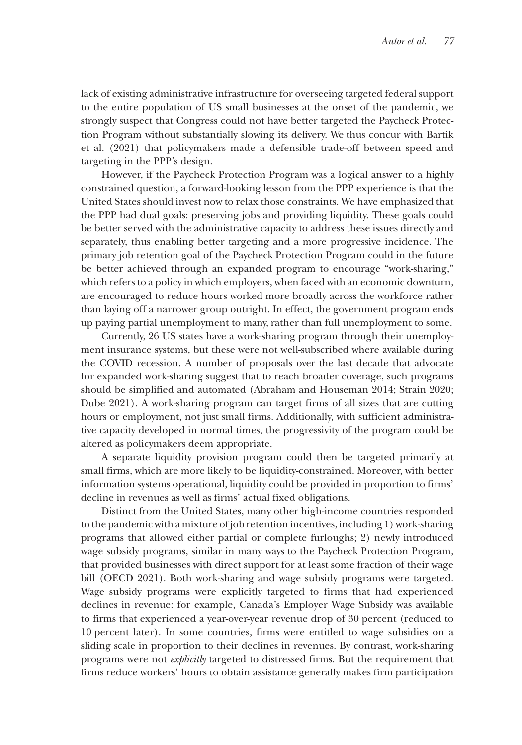lack of existing administrative infrastructure for overseeing targeted federal support to the entire population of US small businesses at the onset of the pandemic, we strongly suspect that Congress could not have better targeted the Paycheck Protection Program without substantially slowing its delivery. We thus concur with Bartik et al. (2021) that policymakers made a defensible trade-off between speed and targeting in the PPP's design.

However, if the Paycheck Protection Program was a logical answer to a highly constrained question, a forward-looking lesson from the PPP experience is that the United States should invest now to relax those constraints. We have emphasized that the PPP had dual goals: preserving jobs and providing liquidity. These goals could be better served with the administrative capacity to address these issues directly and separately, thus enabling better targeting and a more progressive incidence. The primary job retention goal of the Paycheck Protection Program could in the future be better achieved through an expanded program to encourage "work-sharing," which refers to a policy in which employers, when faced with an economic downturn, are encouraged to reduce hours worked more broadly across the workforce rather than laying off a narrower group outright. In effect, the government program ends up paying partial unemployment to many, rather than full unemployment to some.

Currently, 26 US states have a work-sharing program through their unemployment insurance systems, but these were not well-subscribed where available during the COVID recession. A number of proposals over the last decade that advocate for expanded work-sharing suggest that to reach broader coverage, such programs should be simplified and automated (Abraham and Houseman 2014; Strain 2020; Dube 2021). A work-sharing program can target firms of all sizes that are cutting hours or employment, not just small firms. Additionally, with sufficient administrative capacity developed in normal times, the progressivity of the program could be altered as policymakers deem appropriate.

A separate liquidity provision program could then be targeted primarily at small firms, which are more likely to be liquidity-constrained. Moreover, with better information systems operational, liquidity could be provided in proportion to firms' decline in revenues as well as firms' actual fixed obligations.

Distinct from the United States, many other high-income countries responded to the pandemic with a mixture of job retention incentives, including 1) work-sharing programs that allowed either partial or complete furloughs; 2) newly introduced wage subsidy programs, similar in many ways to the Paycheck Protection Program, that provided businesses with direct support for at least some fraction of their wage bill (OECD 2021). Both work-sharing and wage subsidy programs were targeted. Wage subsidy programs were explicitly targeted to firms that had experienced declines in revenue: for example, Canada's Employer Wage Subsidy was available to firms that experienced a year-over-year revenue drop of 30 percent (reduced to 10 percent later). In some countries, firms were entitled to wage subsidies on a sliding scale in proportion to their declines in revenues. By contrast, work-sharing programs were not *explicitly* targeted to distressed firms. But the requirement that firms reduce workers' hours to obtain assistance generally makes firm participation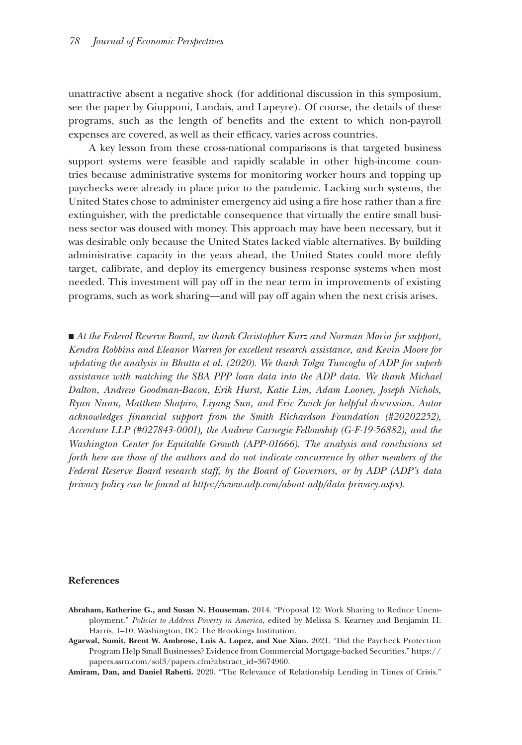unattractive absent a negative shock (for additional discussion in this symposium, see the paper by Giupponi, Landais, and Lapeyre). Of course, the details of these programs, such as the length of benefits and the extent to which non-payroll expenses are covered, as well as their efficacy, varies across countries.

A key lesson from these cross-national comparisons is that targeted business support systems were feasible and rapidly scalable in other high-income countries because administrative systems for monitoring worker hours and topping up paychecks were already in place prior to the pandemic. Lacking such systems, the United States chose to administer emergency aid using a fire hose rather than a fire extinguisher, with the predictable consequence that virtually the entire small business sector was doused with money. This approach may have been necessary, but it was desirable only because the United States lacked viable alternatives. By building administrative capacity in the years ahead, the United States could more deftly target, calibrate, and deploy its emergency business response systems when most needed. This investment will pay off in the near term in improvements of existing programs, such as work sharing—and will pay off again when the next crisis arises.

■ *At the Federal Reserve Board, we thank Christopher Kurz and Norman Morin for support, Kendra Robbins and Eleanor Warren for excellent research assistance, and Kevin Moore for updating the analysis in Bhutta et al. (2020). We thank Tolga Tuncoglu of ADP for superb*  assistance with matching the SBA PPP loan data into the ADP data. We thank Michael *Dalton, Andrew Goodman-Bacon, Erik Hurst, Katie Lim, Adam Looney, Joseph Nichols, Ryan Nunn, Matthew Shapiro, Liyang Sun, and Eric Zwick for helpful discussion. Autor acknowledges financial support from the Smith Richardson Foundation (#20202252), Accenture LLP (#027843-0001), the Andrew Carnegie Fellowship (G-F-19-56882), and the Washington Center for Equitable Growth (APP-01666). The analysis and conclusions set forth here are those of the authors and do not indicate concurrence by other members of the Federal Reserve Board research staff, by the Board of Governors, or by ADP (ADP's data privacy policy can be found at [https://www.adp.com/about-adp/data-privacy.aspx\)](https://www.adp.com/about-adp/data-privacy.aspx).*

#### **References**

- **Agarwal, Sumit, Brent W. Ambrose, Luis A. Lopez, and Xue Xiao.** 2021. "Did the Paycheck Protection Program Help Small Businesses? Evidence from Commercial Mortgage-backed Securities." [https://](https://papers.ssrn.com/sol3/papers.cfm?abstract_id=3674960) [papers.ssrn.com/sol3/papers.cfm?abstract\\_id=3674960](https://papers.ssrn.com/sol3/papers.cfm?abstract_id=3674960).
- **Amiram, Dan, and Daniel Rabetti.** 2020. "The Relevance of Relationship Lending in Times of Crisis."

**Abraham, Katherine G., and Susan N. Houseman.** 2014. "Proposal 12: Work Sharing to Reduce Unemployment." *Policies to Address Poverty in America*, edited by Melissa S. Kearney and Benjamin H. Harris, 1–10. Washington, DC: The Brookings Institution.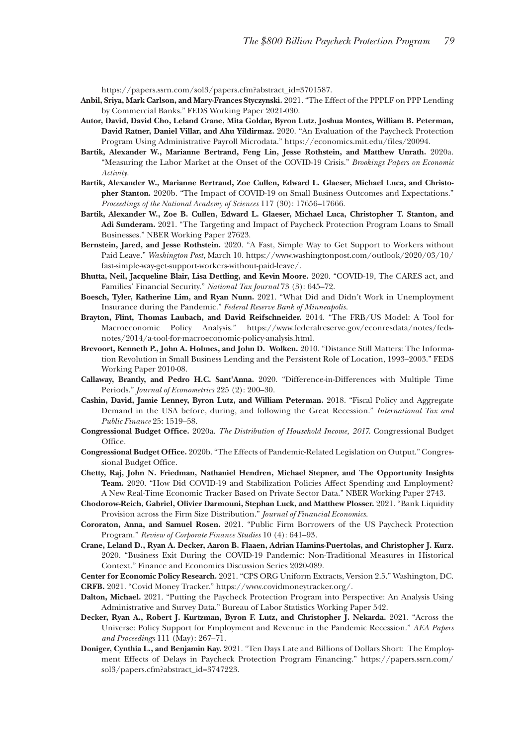[https://papers.ssrn.com/sol3/papers.cfm?abstract\\_id=3701587.](https://papers.ssrn.com/sol3/papers.cfm?abstract_id=3701587)

- **Anbil, Sriya, Mark Carlson, and Mary-Frances Styczynski.** 2021. "The Effect of the PPPLF on PPP Lending by Commercial Banks." FEDS Working Paper 2021-030.
- **Autor, David, David Cho, Leland Crane, Mita Goldar, Byron Lutz, Joshua Montes, William B. Peterman, David Ratner, Daniel Villar, and Ahu Yildirmaz.** 2020. "An Evaluation of the Paycheck Protection Program Using Administrative Payroll Microdata." [https://economics.mit.edu/files/20094.](https://economics.mit.edu/files/20094)
- **Bartik, Alexander W., Marianne Bertrand, Feng Lin, Jesse Rothstein, and Matthew Unrath.** 2020a. "Measuring the Labor Market at the Onset of the COVID-19 Crisis." *Brookings Papers on Economic Activity*.
- **Bartik, Alexander W., Marianne Bertrand, Zoe Cullen, Edward L. Glaeser, Michael Luca, and Christopher Stanton.** 2020b. "The Impact of COVID-19 on Small Business Outcomes and Expectations." *Proceedings of the National Academy of Sciences* 117 (30): 17656–17666.
- **Bartik, Alexander W., Zoe B. Cullen, Edward L. Glaeser, Michael Luca, Christopher T. Stanton, and Adi Sunderam.** 2021. "The Targeting and Impact of Paycheck Protection Program Loans to Small Businesses." NBER Working Paper 27623.
- **Bernstein, Jared, and Jesse Rothstein.** 2020. "A Fast, Simple Way to Get Support to Workers without Paid Leave." *Washington Post*, March 10. [https://www.washingtonpost.com/outlook/2020/03/10/](https://www.washingtonpost.com/outlook/2020/03/10/fast-simple-way-get-support-workers-without-paid-leave/) [fast-simple-way-get-support-workers-without-paid-leave/](https://www.washingtonpost.com/outlook/2020/03/10/fast-simple-way-get-support-workers-without-paid-leave/).
- **Bhutta, Neil, Jacqueline Blair, Lisa Dettling, and Kevin Moore.** 2020. "COVID-19, The CARES act, and Families' Financial Security." *National Tax Journal* 73 (3): 645–72.
- **Boesch, Tyler, Katherine Lim, and Ryan Nunn.** 2021. "What Did and Didn't Work in Unemployment Insurance during the Pandemic." *Federal Reserve Bank of Minneapolis*.
- **Brayton, Flint, Thomas Laubach, and David Reifschneider.** 2014. "The FRB/US Model: A Tool for Macroeconomic Policy Analysis." [https://www.federalreserve.gov/econresdata/notes/feds](https://www.federalreserve.gov/econresdata/notes/feds-notes/2014/a-tool-for-macroeconomic-policy-analysis.html)[notes/2014/a-tool-for-macroeconomic-policy-analysis.html](https://www.federalreserve.gov/econresdata/notes/feds-notes/2014/a-tool-for-macroeconomic-policy-analysis.html).
- **Brevoort, Kenneth P., John A. Holmes, and John D. Wolken.** 2010. "Distance Still Matters: The Information Revolution in Small Business Lending and the Persistent Role of Location, 1993–2003." FEDS Working Paper 2010-08.
- **Callaway, Brantly, and Pedro H.C. Sant'Anna.** 2020. "Difference-in-Differences with Multiple Time Periods." *Journal of Econometrics* 225 (2): 200–30.
- **Cashin, David, Jamie Lenney, Byron Lutz, and William Peterman.** 2018. "Fiscal Policy and Aggregate Demand in the USA before, during, and following the Great Recession." *International Tax and Public Finance* 25: 1519–58.
- **Congressional Budget Office.** 2020a. *The Distribution of Household Income, 2017*. Congressional Budget Office.
- **Congressional Budget Office.** 2020b. "The Effects of Pandemic-Related Legislation on Output." Congressional Budget Office.
- **Chetty, Raj, John N. Friedman, Nathaniel Hendren, Michael Stepner, and The Opportunity Insights Team.** 2020. "How Did COVID-19 and Stabilization Policies Affect Spending and Employment? A New Real-Time Economic Tracker Based on Private Sector Data." NBER Working Paper 2743.
- **Chodorow-Reich, Gabriel, Olivier Darmouni, Stephan Luck, and Matthew Plosser.** 2021. "Bank Liquidity Provision across the Firm Size Distribution." *Journal of Financial Economics*.
- **Cororaton, Anna, and Samuel Rosen.** 2021. "Public Firm Borrowers of the US Paycheck Protection Program." *Review of Corporate Finance Studies* 10 (4): 641–93*.*
- **Crane, Leland D., Ryan A. Decker, Aaron B. Flaaen, Adrian Hamins-Puertolas, and Christopher J. Kurz.**  2020. "Business Exit During the COVID-19 Pandemic: Non-Traditional Measures in Historical Context." Finance and Economics Discussion Series 2020-089.
- **Center for Economic Policy Research.** 2021. "CPS ORG Uniform Extracts, Version 2.5." Washington, DC.

**CRFB.** 2021. "Covid Money Tracker." [https://www.covidmoneytracker.org/.](https://www.covidmoneytracker.org/)

- **Dalton, Michael.** 2021. "Putting the Paycheck Protection Program into Perspective: An Analysis Using Administrative and Survey Data." Bureau of Labor Statistics Working Paper 542.
- **Decker, Ryan A., Robert J. Kurtzman, Byron F. Lutz, and Christopher J. Nekarda.** 2021. "Across the Universe: Policy Support for Employment and Revenue in the Pandemic Recession." *AEA Papers and Proceedings* 111 (May): 267–71.
- **Doniger, Cynthia L., and Benjamin Kay.** 2021. "Ten Days Late and Billions of Dollars Short: The Employment Effects of Delays in Paycheck Protection Program Financing." [https://papers.ssrn.com/](https://papers.ssrn.com/sol3/papers.cfm?abstract_id=3747223) [sol3/papers.cfm?abstract\\_id=3747223](https://papers.ssrn.com/sol3/papers.cfm?abstract_id=3747223).